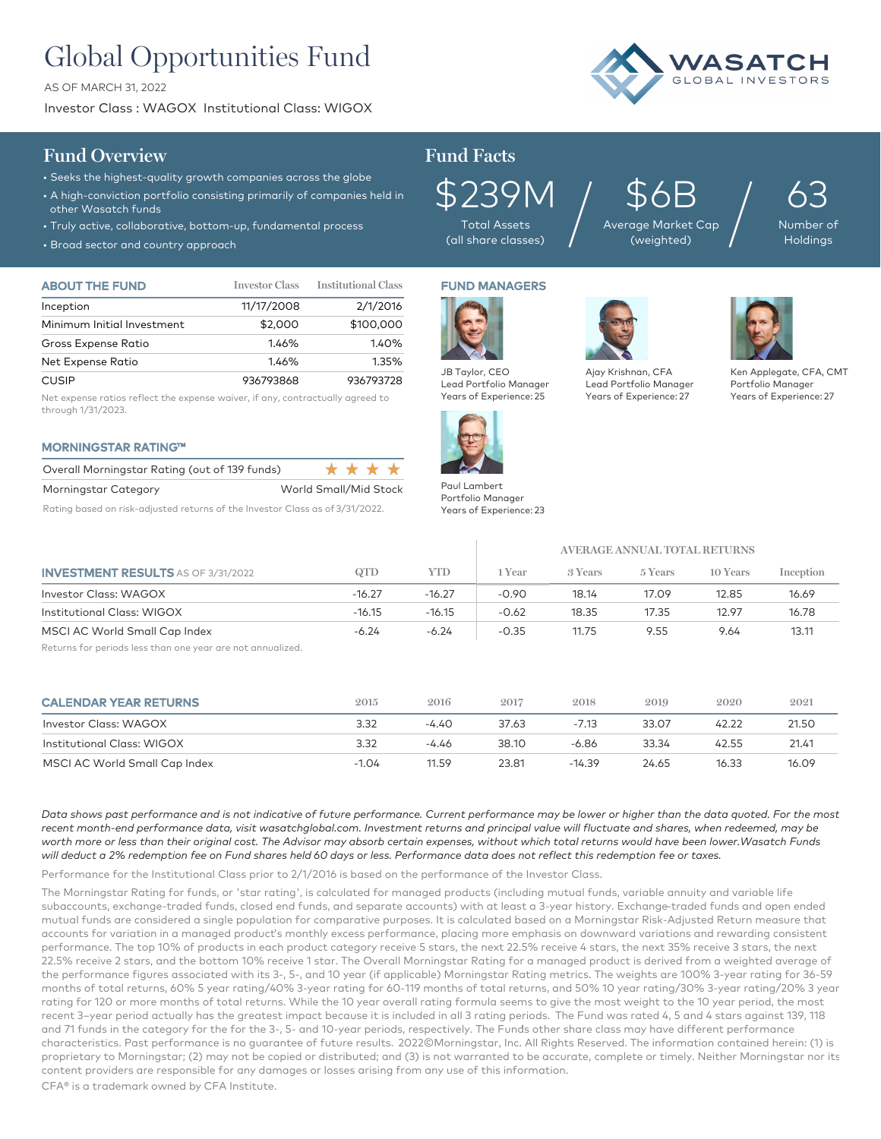# Global Opportunities Fund

AS OF MARCH 31, 2022

Investor Class : WAGOX Institutional Class: WIGOX



## **Fund Overview Fund Facts**

- Seeks the highest-quality growth companies across the globe
- A high-conviction portfolio consisting primarily of companies held in other Wasatch funds
- Truly active, collaborative, bottom-up, fundamental process
- Broad sector and country approach

| <b>ABOUT THE FUND</b>      | <b>Investor Class</b> | <b>Institutional Class</b> |
|----------------------------|-----------------------|----------------------------|
| Inception                  | 11/17/2008            | 2/1/2016                   |
| Minimum Initial Investment | \$2,000               | \$100,000                  |
| Gross Expense Ratio        | 1.46%                 | 1.40%                      |
| Net Expense Ratio          | 1.46%                 | 1.35%                      |
| <b>CUSIP</b>               | 936793868             | 936793728                  |

Net expense ratios reflect the expense waiver, if any, contractually agreed to through 1/31/2023.

## MORNINGSTAR RATING™

| Overall Morningstar Rating (out of 139 funds) | * * * *               |
|-----------------------------------------------|-----------------------|
| Morningstar Category                          | World Small/Mid Stock |
|                                               | _ _ _ _ _ _ _ _       |

Rating based on risk-adjusted returns of the Investor Class as of 3/31/2022.



\$239M Total Assets (all share classes)

FUND MANAGERS

\$6B Average Market Cap  $\mathfrak{P}\mathsf{6B}_{\tiny{\text{age Market Cap}}}\Big/$ 

63 Number of

Holdings



Aia Leo Yec

JB Taylor, CEO Lead Portfolio Manager Years of Experience: 25

Paul Lambert Portfolio Manager Years of Experience: 23

| y Krishnan, CFA       |  |
|-----------------------|--|
| ıd Portfolio Manager  |  |
| ars of Experience: 27 |  |

#### Ken Applegate, CFA, CMT Portfolio Manager Years of Experience: 27

|                                           |          |          | AVERAGE ANNUAL TOTAL RETURNS |         |         |          |           |
|-------------------------------------------|----------|----------|------------------------------|---------|---------|----------|-----------|
| <b>INVESTMENT RESULTS AS OF 3/31/2022</b> | QTD      | YTD      | 1 Year                       | 3 Years | 5 Years | 10 Years | Inception |
| Investor Class: WAGOX                     | $-16.27$ | $-16.27$ | $-0.90$                      | 18.14   | 17.09   | 12.85    | 16.69     |
| Institutional Class: WIGOX                | $-16.15$ | $-16.15$ | $-0.62$                      | 18.35   | 17.35   | 12.97    | 16.78     |
| MSCI AC World Small Cap Index             | $-6.24$  | $-6.24$  | $-0.35$                      | 11.75   | 9.55    | 9.64     | 13.11     |

Returns for periods less than one year are not annualized.

| <b>CALENDAR YEAR RETURNS</b>  | 2015    | 2016    | 2017  | 2018     | 2019  | 2020  | 2021  |
|-------------------------------|---------|---------|-------|----------|-------|-------|-------|
| Investor Class: WAGOX         | 3.32    | $-4.40$ | 37.63 | -7.13    | 33.07 | 42.22 | 21.50 |
| Institutional Class: WIGOX    | 3.32    | -4.46   | 38.10 | -6.86    | 33.34 | 42.55 | 21.41 |
| MSCI AC World Small Cap Index | $-1.04$ | 11.59   | 23.81 | $-14.39$ | 24.65 | 16.33 | 16.09 |

*Data shows past performance and is not indicative of future performance. Current performance may be lower or higher than the data quoted. For the most recent month-end performance data, visit wasatchglobal.com. Investment returns and principal value will fluctuate and shares, when redeemed, may be worth more or less than their original cost. The Advisor may absorb certain expenses, without which total returns would have been lower.Wasatch Funds will deduct a 2% redemption fee on Fund shares held 60 days or less. Performance data does not reflect this redemption fee or taxes.*

Performance for the Institutional Class prior to 2/1/2016 is based on the performance of the Investor Class.

The Morningstar Rating for funds, or 'star rating', is calculated for managed products (including mutual funds, variable annuity and variable life subaccounts, exchange-traded funds, closed end funds, and separate accounts) with at least a 3-year history. Exchange–traded funds and open ended mutual funds are considered a single population for comparative purposes. It is calculated based on a Morningstar Risk-Adjusted Return measure that accounts for variation in a managed product's monthly excess performance, placing more emphasis on downward variations and rewarding consistent performance. The top 10% of products in each product category receive 5 stars, the next 22.5% receive 4 stars, the next 35% receive 3 stars, the next 22.5% receive 2 stars, and the bottom 10% receive 1 star. The Overall Morningstar Rating for a managed product is derived from a weighted average of the performance figures associated with its 3-, 5-, and 10 year (if applicable) Morningstar Rating metrics. The weights are 100% 3-year rating for 36-59 months of total returns, 60% 5 year rating/40% 3-year rating for 60-119 months of total returns, and 50% 10 year rating/30% 3-year rating/20% 3 year rating for 120 or more months of total returns. While the 10 year overall rating formula seems to give the most weight to the 10 year period, the most recent 3–year period actually has the greatest impact because it is included in all 3 rating periods. The Fund was rated 4, 5 and 4 stars against 139, 118 and 71 funds in the category for the for the 3-, 5- and 10-year periods, respectively. The Funds other share class may have different performance characteristics. Past performance is no guarantee of future results. 2022©Morningstar, Inc. All Rights Reserved. The information contained herein: (1) is proprietary to Morningstar; (2) may not be copied or distributed; and (3) is not warranted to be accurate, complete or timely. Neither Morningstar nor its content providers are responsible for any damages or losses arising from any use of this information.

CFA® is a trademark owned by CFA Institute.